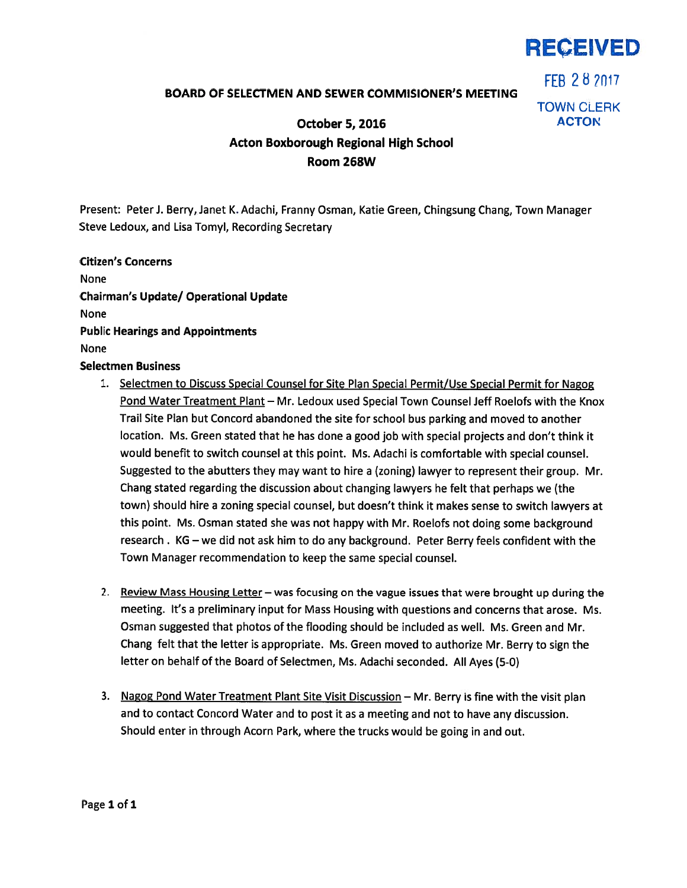

FFB 28 2017

## BOARD OF SELECTMEN AND SEWER COMMISIONER'S MEETING

TOWN CLERK

## October 5, 2016 ACTON Acton Boxborough Regional High School Room 268W

Present: PeterJ. Berry, Janet K. Adachi, Franny Osman, Katie Green, Chingsung Chang, Town Manager Steve Ledoux, and Lisa Tomyl, Recording Secretary

## Citizen's Concerns

None Chairman's Update/ Operational Update None Public Hearings and Appointments None Selectmen Business

- 1. Selectmen to Discuss Special Counsel for Site Plan Special Permit/Use Special Permit for Nagog Pond Water Treatment Plant — Mr. Ledoux used Special Town Counsel Jeff Roelofs with the Knox Trail Site Plan but Concord abandoned the site for school bus parking and moved to another location. Ms. Green stated that he has done <sup>a</sup> good job with special projects and don't think it would benefit to switch counsel at this point. Ms. Adachi is comfortable with special counsel. Suggested to the abutters they may want to hire <sup>a</sup> (zoning) lawyer to represen<sup>t</sup> their group. Mr. Chang stated regarding the discussion about changing lawyers he felt that perhaps we (the town) should hire <sup>a</sup> zoning special counsel, but doesn't think it makes sense to switch lawyers at this point. Ms. Osman stated she was not happy with Mr. Roelofs not doing some background research . KG — we did not ask him to do any background. Peter Berry feels confident with the Town Manager recommendation to keep the same special counsel.
- 2. Review Mass Housing Letter was focusing on the vague issues that were brought up during the meeting. It's <sup>a</sup> preliminary input for Mass Housing with questions and concerns that arose. Ms. Osman suggested that photos of the flooding should be included as well. Ms. Green and Mr. Chang felt that the letter is appropriate. Ms. Green moved to authorize Mr. Berry to sign the letter on behalf of the Board of Selectmen, Ms. Adachi seconded. All Ayes (5-0)
- 3. Nagog Pond Water Treatment Plant Site Visit Discussion Mr. Berry is fine with the visit <sup>p</sup>lan and to contact Concord Water and to pos<sup>t</sup> it as <sup>a</sup> meeting and not to have any discussion. Should enter in through Acorn Park, where the trucks would be going in and out.